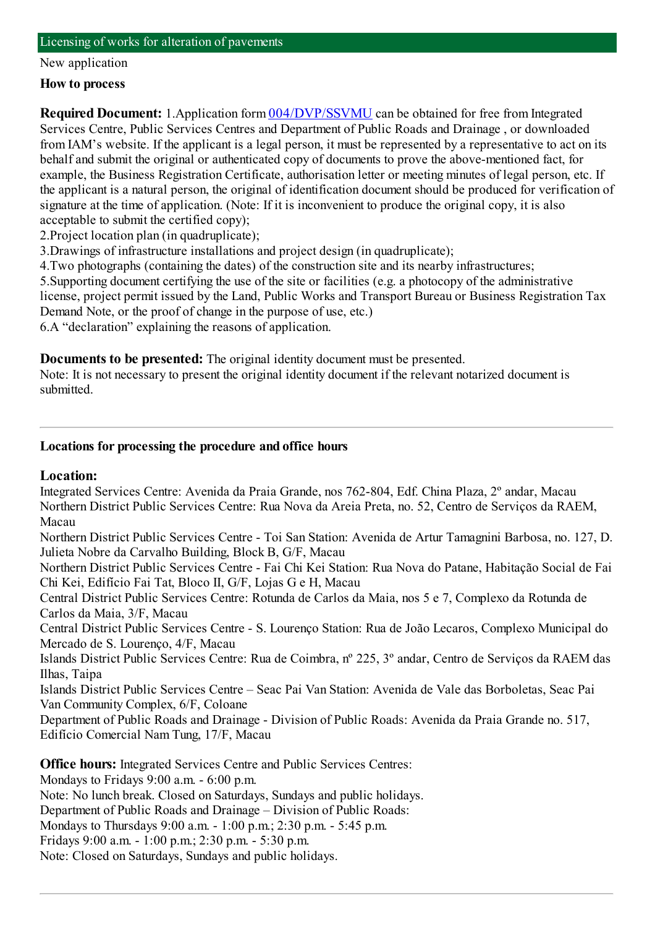#### New application

#### **How to process**

**Required Document:** 1.Application form  $\frac{004}{DVP/SSVMU}$  can be obtained for free from Integrated Services Centre, Public Services Centres and Department of Public Roads and Drainage , or downloaded fromIAM's website. If the applicant is a legal person, it must be represented by a representative to act on its behalf and submit the original or authenticated copy of documents to prove the above-mentioned fact, for example, the Business Registration Certificate, authorisation letter or meeting minutes of legal person, etc. If the applicant is a natural person, the original of identification document should be produced for verification of signature at the time of application. (Note: If it is inconvenient to produce the original copy, it is also acceptable to submit the certified copy);

2.Project location plan (in quadruplicate);

3.Drawings of infrastructure installations and project design (in quadruplicate);

4.Two photographs (containing the dates) of the construction site and its nearby infrastructures;

5.Supporting document certifying the use of the site or facilities (e.g. a photocopy of the administrative license, project permit issued by the Land, Public Works and Transport Bureau or Business Registration Tax Demand Note, or the proof of change in the purpose of use, etc.)

6.A "declaration" explaining the reasons of application.

**Documents to be presented:** The original identity document must be presented.

Note: It is not necessary to present the original identity document if the relevant notarized document is submitted.

#### **Locations for processing the procedure and office hours**

#### **Location:**

Integrated Services Centre: Avenida da Praia Grande, nos 762-804, Edf. China Plaza, 2º andar, Macau Northern District Public Services Centre: Rua Nova da Areia Preta, no. 52, Centro de Serviços da RAEM, Macau

Northern District Public Services Centre - Toi San Station: Avenida de Artur Tamagnini Barbosa, no. 127, D. Julieta Nobre da Carvalho Building, Block B, G/F, Macau

Northern District Public Services Centre - Fai Chi Kei Station: Rua Nova do Patane, Habitação Social de Fai Chi Kei, Edifício Fai Tat, Bloco II, G/F, Lojas G e H, Macau

Central District Public Services Centre: Rotunda de Carlos da Maia, nos 5 e 7, Complexo da Rotunda de Carlos da Maia, 3/F, Macau

Central District Public Services Centre - S. Lourenço Station: Rua de João Lecaros, Complexo Municipal do Mercado de S. Lourenço, 4/F, Macau

Islands District Public Services Centre: Rua de Coimbra, nº 225, 3º andar, Centro de Serviços da RAEM das Ilhas, Taipa

Islands District Public Services Centre – Seac Pai Van Station: Avenida de Vale das Borboletas, Seac Pai Van Community Complex, 6/F, Coloane

Department of Public Roads and Drainage - Division of Public Roads: Avenida da Praia Grande no. 517, Edifício Comercial NamTung, 17/F, Macau

**Office hours:** Integrated Services Centre and Public Services Centres:

Mondays to Fridays 9:00 a.m. - 6:00 p.m.

Note: No lunch break. Closed on Saturdays, Sundays and public holidays.

Department of Public Roads and Drainage – Division of Public Roads:

Mondays to Thursdays 9:00 a.m. - 1:00 p.m.; 2:30 p.m. - 5:45 p.m.

Fridays 9:00 a.m. - 1:00 p.m.; 2:30 p.m. - 5:30 p.m.

Note: Closed on Saturdays, Sundays and public holidays.